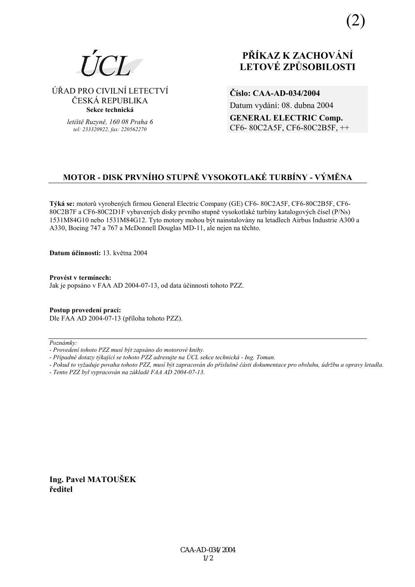

⁄ŘAD PRO CIVILNÕ LETECTVÕ ČESKÁ REPUBLIKA **Sekce technická** 

> *letiötě Ruzyně, 160 08 Praha 6 tel: 233320922, fax: 220562270*

# **PŘÍKAZ K ZACHOVÁNÍ LETOV… ZPŮSOBILOSTI**

**ČÌslo: CAA-AD-034/2004**  Datum vydání: 08. dubna 2004 **GENERAL ELECTRIC Comp.** CF6- 80C2A5F, CF6-80C2B5F, ++

# **MOTOR - DISK PRVNÍHO STUPNĚ VYSOKOTLAKÉ TURBÍNY - VÝMĚNA**

**T˝k· se:** motorů vyroben˝ch firmou General Electric Company (GE) CF6- 80C2A5F, CF6-80C2B5F, CF6- 80C2B7F a CF6-80C2D1F vybavených disky prvního stupně vysokotlaké turbíny katalogových čísel (P/Ns) 1531M84G10 nebo 1531M84G12. Tyto motory mohou být nainstalovány na letadlech Airbus Industrie A300 a A330, Boeing 747 a 767 a McDonnell Douglas MD-11, ale nejen na těchto.

**Datum ˙činnosti:** 13. května 2004

Provést v termínech: Jak je popsáno v FAA AD 2004-07-13, od data účinnosti tohoto PZZ.

**Postup provedenÌ pracÌ:**  Dle FAA AD 2004-07-13 (přÌloha tohoto PZZ).

 $Poznámkv:$ 

- *Pokud to vyûaduje povaha tohoto PZZ, musÌ b˝t zapracov·n do přÌsluönÈ č·sti dokumentace pro obsluhu, ˙drûbu a opravy letadla.*
- *Tento PZZ byl vypracov·n na z·kladě FAA AD 2004-07-13.*

**Ing. Pavel MATOUäEK ředitel** 

*<sup>-</sup> ProvedenÌ tohoto PZZ musÌ b˝t zaps·no do motorovÈ knihy.* 

<sup>-</sup> Případné dotazy týkající se tohoto PZZ adresujte na ÚCL sekce technická - Ing. Toman.